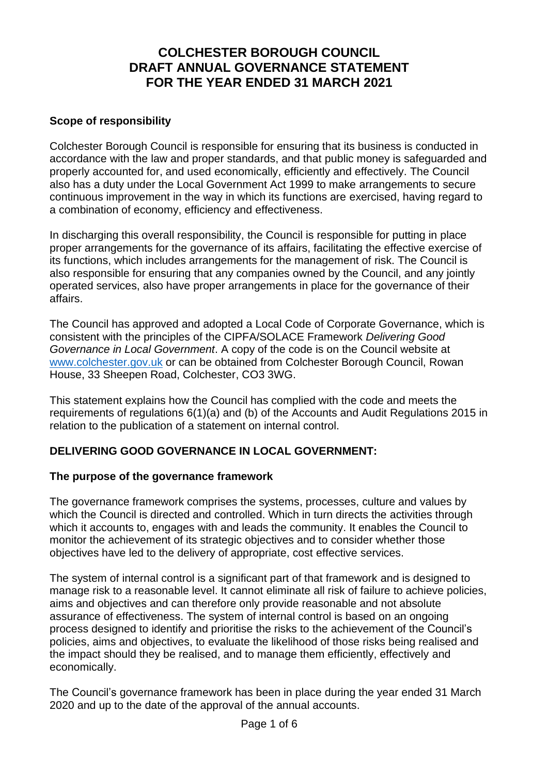# **COLCHESTER BOROUGH COUNCIL DRAFT ANNUAL GOVERNANCE STATEMENT FOR THE YEAR ENDED 31 MARCH 2021**

#### **Scope of responsibility**

Colchester Borough Council is responsible for ensuring that its business is conducted in accordance with the law and proper standards, and that public money is safeguarded and properly accounted for, and used economically, efficiently and effectively. The Council also has a duty under the Local Government Act 1999 to make arrangements to secure continuous improvement in the way in which its functions are exercised, having regard to a combination of economy, efficiency and effectiveness.

In discharging this overall responsibility, the Council is responsible for putting in place proper arrangements for the governance of its affairs, facilitating the effective exercise of its functions, which includes arrangements for the management of risk. The Council is also responsible for ensuring that any companies owned by the Council, and any jointly operated services, also have proper arrangements in place for the governance of their affairs.

The Council has approved and adopted a Local Code of Corporate Governance, which is consistent with the principles of the CIPFA/SOLACE Framework *Delivering Good Governance in Local Government*. A copy of the code is on the Council website at [www.colchester.gov.uk](http://www.colchester.gov.uk/) or can be obtained from Colchester Borough Council, Rowan House, 33 Sheepen Road, Colchester, CO3 3WG.

This statement explains how the Council has complied with the code and meets the requirements of regulations 6(1)(a) and (b) of the Accounts and Audit Regulations 2015 in relation to the publication of a statement on internal control.

### **DELIVERING GOOD GOVERNANCE IN LOCAL GOVERNMENT:**

### **The purpose of the governance framework**

The governance framework comprises the systems, processes, culture and values by which the Council is directed and controlled. Which in turn directs the activities through which it accounts to, engages with and leads the community. It enables the Council to monitor the achievement of its strategic objectives and to consider whether those objectives have led to the delivery of appropriate, cost effective services.

The system of internal control is a significant part of that framework and is designed to manage risk to a reasonable level. It cannot eliminate all risk of failure to achieve policies, aims and objectives and can therefore only provide reasonable and not absolute assurance of effectiveness. The system of internal control is based on an ongoing process designed to identify and prioritise the risks to the achievement of the Council's policies, aims and objectives, to evaluate the likelihood of those risks being realised and the impact should they be realised, and to manage them efficiently, effectively and economically.

The Council's governance framework has been in place during the year ended 31 March 2020 and up to the date of the approval of the annual accounts.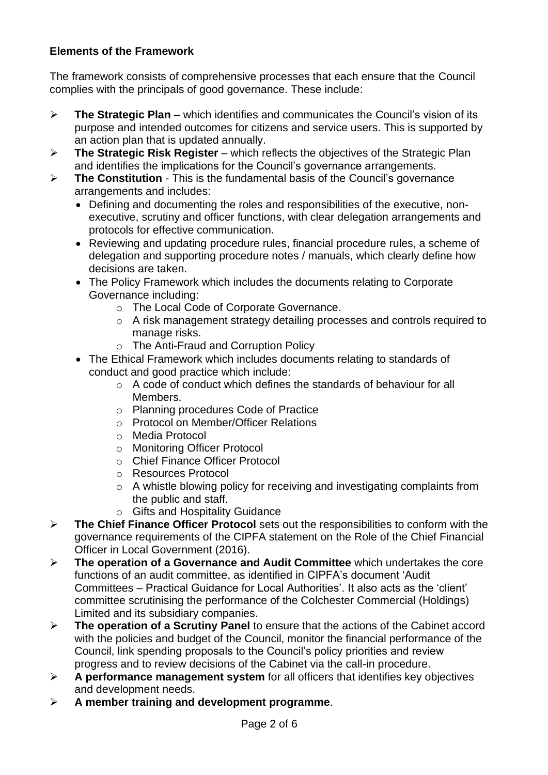### **Elements of the Framework**

The framework consists of comprehensive processes that each ensure that the Council complies with the principals of good governance. These include:

- ➢ **The Strategic Plan** which identifies and communicates the Council's vision of its purpose and intended outcomes for citizens and service users. This is supported by an action plan that is updated annually.
- ➢ **The Strategic Risk Register** which reflects the objectives of the Strategic Plan and identifies the implications for the Council's governance arrangements.
- ➢ **The Constitution** This is the fundamental basis of the Council's governance arrangements and includes:
	- Defining and documenting the roles and responsibilities of the executive, nonexecutive, scrutiny and officer functions, with clear delegation arrangements and protocols for effective communication.
	- Reviewing and updating procedure rules, financial procedure rules, a scheme of delegation and supporting procedure notes / manuals, which clearly define how decisions are taken.
	- The Policy Framework which includes the documents relating to Corporate Governance including:
		- o The Local Code of Corporate Governance.
		- o A risk management strategy detailing processes and controls required to manage risks.
		- o The Anti-Fraud and Corruption Policy
	- The Ethical Framework which includes documents relating to standards of conduct and good practice which include:
		- o A code of conduct which defines the standards of behaviour for all Members.
		- o Planning procedures Code of Practice
		- o Protocol on Member/Officer Relations
		- o Media Protocol
		- o Monitoring Officer Protocol
		- o Chief Finance Officer Protocol
		- o Resources Protocol
		- o A whistle blowing policy for receiving and investigating complaints from the public and staff.
		- o Gifts and Hospitality Guidance
- ➢ **The Chief Finance Officer Protocol** sets out the responsibilities to conform with the governance requirements of the CIPFA statement on the Role of the Chief Financial Officer in Local Government (2016).
- ➢ **The operation of a Governance and Audit Committee** which undertakes the core functions of an audit committee, as identified in CIPFA's document 'Audit Committees – Practical Guidance for Local Authorities'. It also acts as the 'client' committee scrutinising the performance of the Colchester Commercial (Holdings) Limited and its subsidiary companies.
- ➢ **The operation of a Scrutiny Panel** to ensure that the actions of the Cabinet accord with the policies and budget of the Council, monitor the financial performance of the Council, link spending proposals to the Council's policy priorities and review progress and to review decisions of the Cabinet via the call-in procedure.
- ➢ **A performance management system** for all officers that identifies key objectives and development needs.
- ➢ **A member training and development programme**.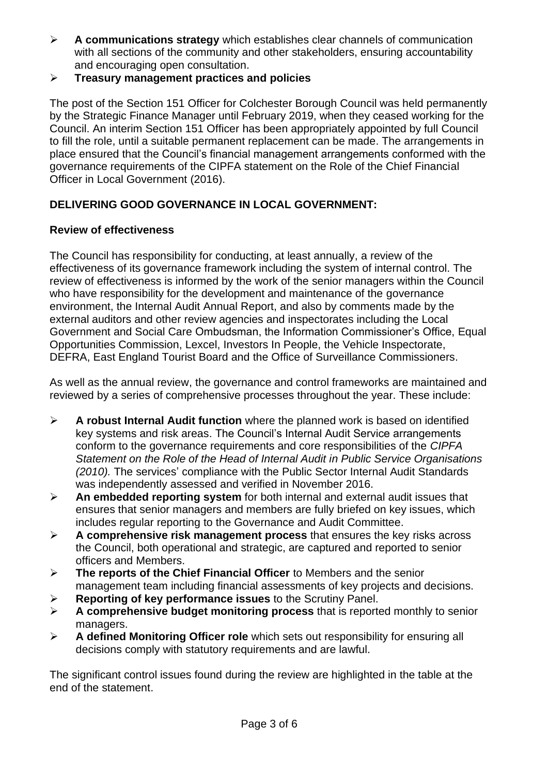- ➢ **A communications strategy** which establishes clear channels of communication with all sections of the community and other stakeholders, ensuring accountability and encouraging open consultation.
- ➢ **Treasury management practices and policies**

The post of the Section 151 Officer for Colchester Borough Council was held permanently by the Strategic Finance Manager until February 2019, when they ceased working for the Council. An interim Section 151 Officer has been appropriately appointed by full Council to fill the role, until a suitable permanent replacement can be made. The arrangements in place ensured that the Council's financial management arrangements conformed with the governance requirements of the CIPFA statement on the Role of the Chief Financial Officer in Local Government (2016).

# **DELIVERING GOOD GOVERNANCE IN LOCAL GOVERNMENT:**

## **Review of effectiveness**

The Council has responsibility for conducting, at least annually, a review of the effectiveness of its governance framework including the system of internal control. The review of effectiveness is informed by the work of the senior managers within the Council who have responsibility for the development and maintenance of the governance environment, the Internal Audit Annual Report, and also by comments made by the external auditors and other review agencies and inspectorates including the Local Government and Social Care Ombudsman, the Information Commissioner's Office, Equal Opportunities Commission, Lexcel, Investors In People, the Vehicle Inspectorate, DEFRA, East England Tourist Board and the Office of Surveillance Commissioners.

As well as the annual review, the governance and control frameworks are maintained and reviewed by a series of comprehensive processes throughout the year. These include:

- ➢ **A robust Internal Audit function** where the planned work is based on identified key systems and risk areas. The Council's Internal Audit Service arrangements conform to the governance requirements and core responsibilities of the *CIPFA Statement on the Role of the Head of Internal Audit in Public Service Organisations (2010).* The services' compliance with the Public Sector Internal Audit Standards was independently assessed and verified in November 2016.
- ➢ **An embedded reporting system** for both internal and external audit issues that ensures that senior managers and members are fully briefed on key issues, which includes regular reporting to the Governance and Audit Committee.
- ➢ **A comprehensive risk management process** that ensures the key risks across the Council, both operational and strategic, are captured and reported to senior officers and Members.
- ➢ **The reports of the Chief Financial Officer** to Members and the senior management team including financial assessments of key projects and decisions.
- ➢ **Reporting of key performance issues** to the Scrutiny Panel.
- ➢ **A comprehensive budget monitoring process** that is reported monthly to senior managers.
- ➢ **A defined Monitoring Officer role** which sets out responsibility for ensuring all decisions comply with statutory requirements and are lawful.

The significant control issues found during the review are highlighted in the table at the end of the statement.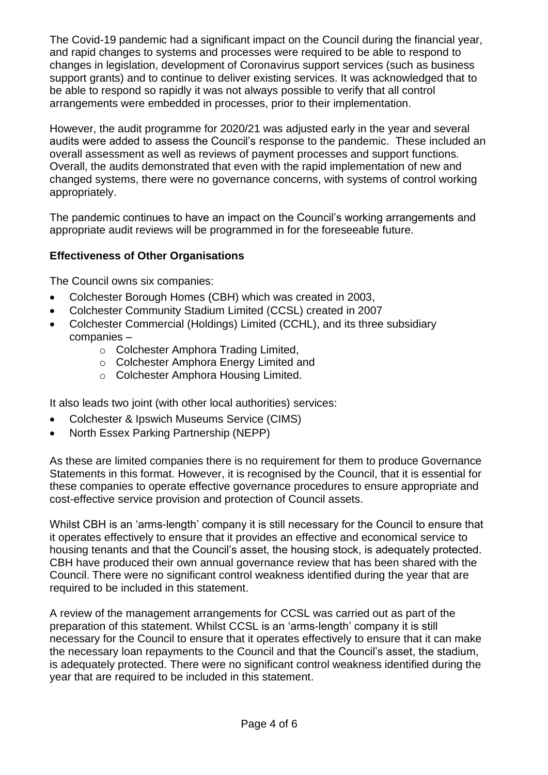The Covid-19 pandemic had a significant impact on the Council during the financial year, and rapid changes to systems and processes were required to be able to respond to changes in legislation, development of Coronavirus support services (such as business support grants) and to continue to deliver existing services. It was acknowledged that to be able to respond so rapidly it was not always possible to verify that all control arrangements were embedded in processes, prior to their implementation.

However, the audit programme for 2020/21 was adjusted early in the year and several audits were added to assess the Council's response to the pandemic. These included an overall assessment as well as reviews of payment processes and support functions. Overall, the audits demonstrated that even with the rapid implementation of new and changed systems, there were no governance concerns, with systems of control working appropriately.

The pandemic continues to have an impact on the Council's working arrangements and appropriate audit reviews will be programmed in for the foreseeable future.

### **Effectiveness of Other Organisations**

The Council owns six companies:

- Colchester Borough Homes (CBH) which was created in 2003,
- Colchester Community Stadium Limited (CCSL) created in 2007
- Colchester Commercial (Holdings) Limited (CCHL), and its three subsidiary companies –
	- o Colchester Amphora Trading Limited,
	- o Colchester Amphora Energy Limited and
	- o Colchester Amphora Housing Limited.

It also leads two joint (with other local authorities) services:

- Colchester & Ipswich Museums Service (CIMS)
- North Essex Parking Partnership (NEPP)

As these are limited companies there is no requirement for them to produce Governance Statements in this format. However, it is recognised by the Council, that it is essential for these companies to operate effective governance procedures to ensure appropriate and cost-effective service provision and protection of Council assets.

Whilst CBH is an 'arms-length' company it is still necessary for the Council to ensure that it operates effectively to ensure that it provides an effective and economical service to housing tenants and that the Council's asset, the housing stock, is adequately protected. CBH have produced their own annual governance review that has been shared with the Council. There were no significant control weakness identified during the year that are required to be included in this statement.

A review of the management arrangements for CCSL was carried out as part of the preparation of this statement. Whilst CCSL is an 'arms-length' company it is still necessary for the Council to ensure that it operates effectively to ensure that it can make the necessary loan repayments to the Council and that the Council's asset, the stadium, is adequately protected. There were no significant control weakness identified during the year that are required to be included in this statement.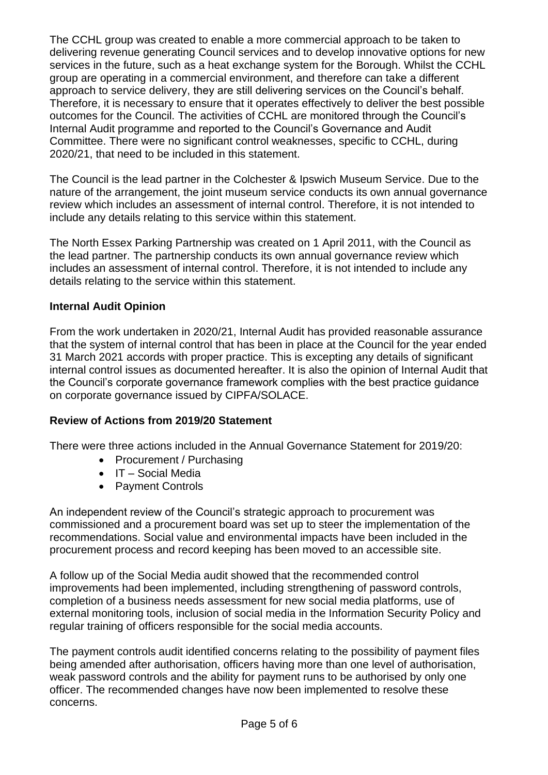The CCHL group was created to enable a more commercial approach to be taken to delivering revenue generating Council services and to develop innovative options for new services in the future, such as a heat exchange system for the Borough. Whilst the CCHL group are operating in a commercial environment, and therefore can take a different approach to service delivery, they are still delivering services on the Council's behalf. Therefore, it is necessary to ensure that it operates effectively to deliver the best possible outcomes for the Council. The activities of CCHL are monitored through the Council's Internal Audit programme and reported to the Council's Governance and Audit Committee. There were no significant control weaknesses, specific to CCHL, during 2020/21, that need to be included in this statement.

The Council is the lead partner in the Colchester & Ipswich Museum Service. Due to the nature of the arrangement, the joint museum service conducts its own annual governance review which includes an assessment of internal control. Therefore, it is not intended to include any details relating to this service within this statement.

The North Essex Parking Partnership was created on 1 April 2011, with the Council as the lead partner. The partnership conducts its own annual governance review which includes an assessment of internal control. Therefore, it is not intended to include any details relating to the service within this statement.

### **Internal Audit Opinion**

From the work undertaken in 2020/21, Internal Audit has provided reasonable assurance that the system of internal control that has been in place at the Council for the year ended 31 March 2021 accords with proper practice. This is excepting any details of significant internal control issues as documented hereafter. It is also the opinion of Internal Audit that the Council's corporate governance framework complies with the best practice guidance on corporate governance issued by CIPFA/SOLACE.

### **Review of Actions from 2019/20 Statement**

There were three actions included in the Annual Governance Statement for 2019/20:

- Procurement / Purchasing
- IT Social Media
- Payment Controls

An independent review of the Council's strategic approach to procurement was commissioned and a procurement board was set up to steer the implementation of the recommendations. Social value and environmental impacts have been included in the procurement process and record keeping has been moved to an accessible site.

A follow up of the Social Media audit showed that the recommended control improvements had been implemented, including strengthening of password controls, completion of a business needs assessment for new social media platforms, use of external monitoring tools, inclusion of social media in the Information Security Policy and regular training of officers responsible for the social media accounts.

The payment controls audit identified concerns relating to the possibility of payment files being amended after authorisation, officers having more than one level of authorisation, weak password controls and the ability for payment runs to be authorised by only one officer. The recommended changes have now been implemented to resolve these concerns.